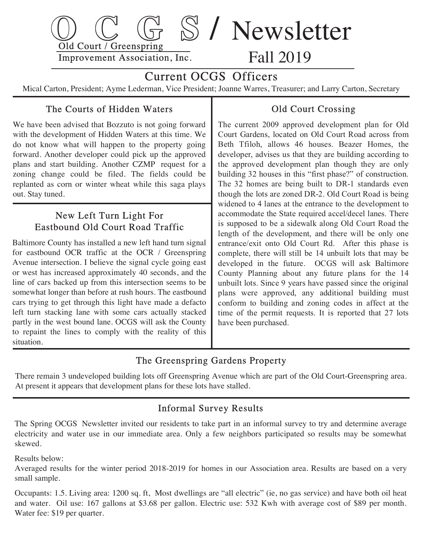

# Current OCGS Officers

Mical Carton, President; Ayme Lederman, Vice President; Joanne Warres, Treasurer; and Larry Carton, Secretary

#### The Courts of Hidden Waters

We have been advised that Bozzuto is not going forward with the development of Hidden Waters at this time. We do not know what will happen to the property going forward. Another developer could pick up the approved plans and start building. Another CZMP request for a zoning change could be filed. The fields could be replanted as corn or winter wheat while this saga plays out. Stay tuned.

#### New Left Turn Light For Eastbound Old Court Road Traffic

 Baltimore County has installed a new left hand turn signal for eastbound OCR traffic at the OCR / Greenspring Avenue intersection. I believe the signal cycle going east or west has increased approximately 40 seconds, and the line of cars backed up from this intersection seems to be somewhat longer than before at rush hours. The eastbound cars trying to get through this light have made a defacto left turn stacking lane with some cars actually stacked partly in the west bound lane. OCGS will ask the County to repaint the lines to comply with the reality of this situation.

# Old Court Crossing

 The current 2009 approved development plan for Old Court Gardens, located on Old Court Road across from Beth Tfiloh, allows 46 houses. Beazer Homes, the developer, advises us that they are building according to the approved development plan though they are only building 32 houses in this "first phase?" of construction. The 32 homes are being built to DR-1 standards even though the lots are zoned DR-2. Old Court Road is being widened to 4 lanes at the entrance to the development to accommodate the State required accel/decel lanes. There is supposed to be a sidewalk along Old Court Road the length of the development, and there will be only one entrance/exit onto Old Court Rd. After this phase is complete, there will still be 14 unbuilt lots that may be developed in the future. OCGS will ask Baltimore County Planning about any future plans for the 14 unbuilt lots. Since 9 years have passed since the original plans were approved, any additional building must conform to building and zoning codes in affect at the time of the permit requests. It is reported that 27 lots have been purchased.

## The Greenspring Gardens Property

There remain 3 undeveloped building lots off Greenspring Avenue which are part of the Old Court-Greenspring area. At present it appears that development plans for these lots have stalled.

## Informal Survey Results

 The Spring OCGS Newsletter invited our residents to take part in an informal survey to try and determine average electricity and water use in our immediate area. Only a few neighbors participated so results may be somewhat skewed.

Results below:

Averaged results for the winter period 2018-2019 for homes in our Association area. Results are based on a very small sample.

Occupants: 1.5. Living area: 1200 sq. ft, Most dwellings are "all electric" (ie, no gas service) and have both oil heat and water. Oil use: 167 gallons at \$3.68 per gallon. Electric use: 532 Kwh with average cost of \$89 per month. Water fee: \$19 per quarter.